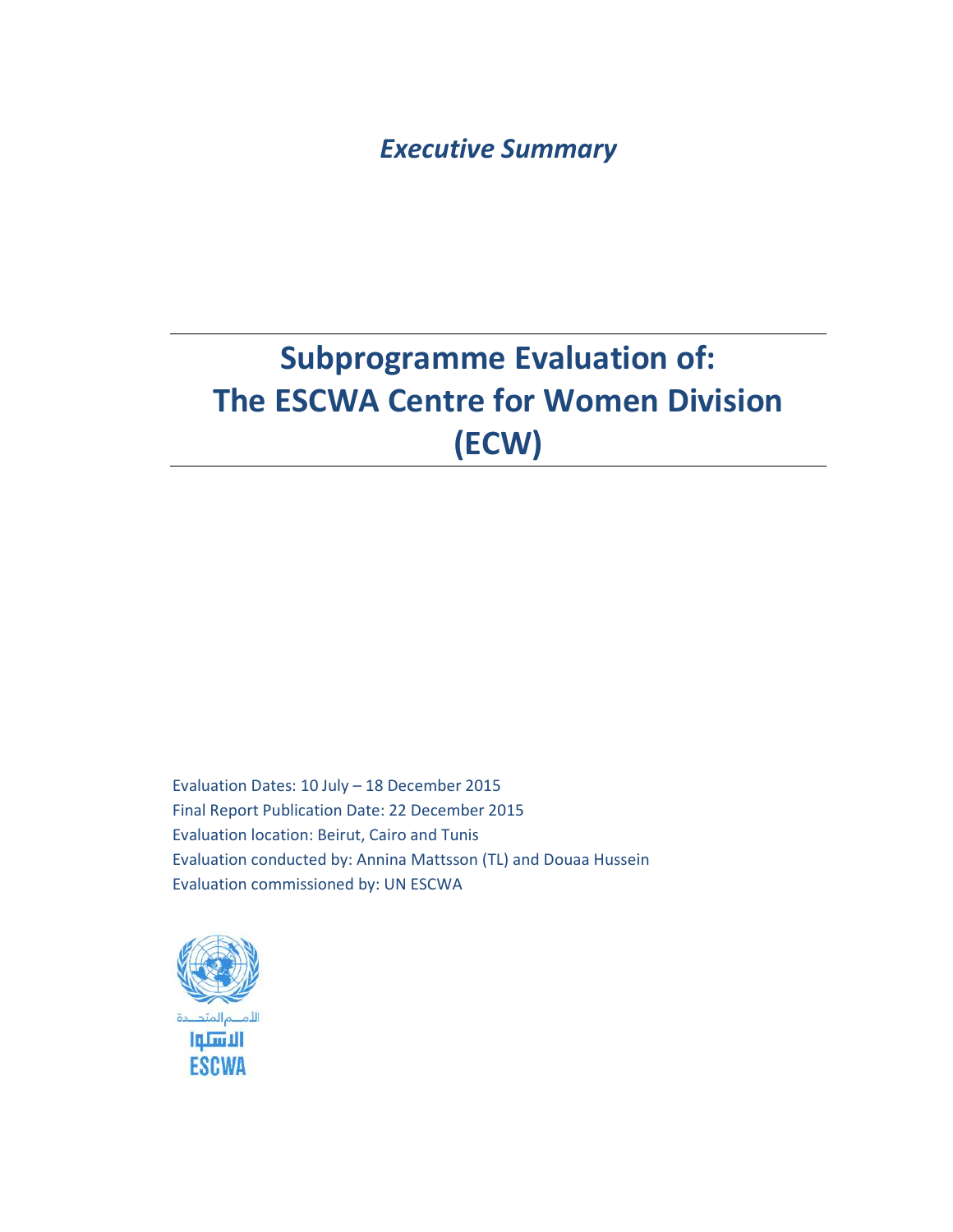*Executive Summary* 

# **Subprogramme Evaluation of: The ESCWA Centre for Women Division (ECW)**

Evaluation Dates: 10 July – 18 December 2015 Final Report Publication Date: 22 December 2015 Evaluation location: Beirut, Cairo and Tunis Evaluation conducted by: Annina Mattsson (TL) and Douaa Hussein Evaluation commissioned by: UN ESCWA

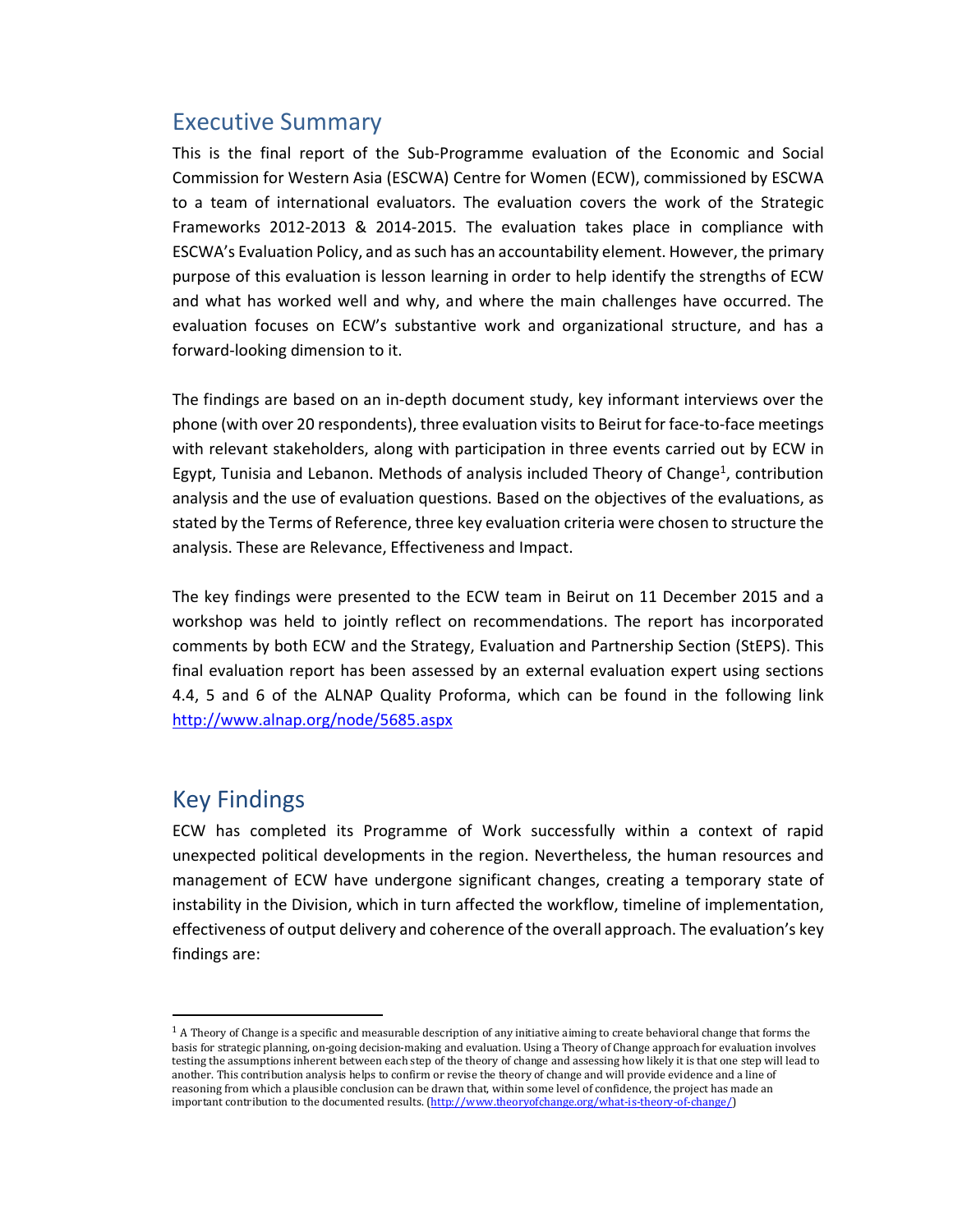## Executive Summary

This is the final report of the Sub-Programme evaluation of the Economic and Social Commission for Western Asia (ESCWA) Centre for Women (ECW), commissioned by ESCWA to a team of international evaluators. The evaluation covers the work of the Strategic Frameworks 2012-2013 & 2014-2015. The evaluation takes place in compliance with ESCWA's Evaluation Policy, and as such has an accountability element. However, the primary purpose of this evaluation is lesson learning in order to help identify the strengths of ECW and what has worked well and why, and where the main challenges have occurred. The evaluation focuses on ECW's substantive work and organizational structure, and has a forward-looking dimension to it.

The findings are based on an in-depth document study, key informant interviews over the phone (with over 20 respondents), three evaluation visits to Beirut for face-to-face meetings with relevant stakeholders, along with participation in three events carried out by ECW in Egypt, Tunisia and Lebanon. Methods of analysis included Theory of Change<sup>1</sup>, contribution analysis and the use of evaluation questions. Based on the objectives of the evaluations, as stated by the Terms of Reference, three key evaluation criteria were chosen to structure the analysis. These are Relevance, Effectiveness and Impact.

The key findings were presented to the ECW team in Beirut on 11 December 2015 and a workshop was held to jointly reflect on recommendations. The report has incorporated comments by both ECW and the Strategy, Evaluation and Partnership Section (StEPS). This final evaluation report has been assessed by an external evaluation expert using sections 4.4, 5 and 6 of the ALNAP Quality Proforma, which can be found in the following link http://www.alnap.org/node/5685.aspx

## Key Findings

 $\overline{a}$ 

ECW has completed its Programme of Work successfully within a context of rapid unexpected political developments in the region. Nevertheless, the human resources and management of ECW have undergone significant changes, creating a temporary state of instability in the Division, which in turn affected the workflow, timeline of implementation, effectiveness of output delivery and coherence of the overall approach. The evaluation's key findings are:

<sup>&</sup>lt;sup>1</sup> A Theory of Change is a specific and measurable description of any initiative aiming to create behavioral change that forms the basis for strategic planning, on-going decision-making and evaluation. Using a Theory of Change approach for evaluation involves testing the assumptions inherent between each step of the theory of change and assessing how likely it is that one step will lead to another. This contribution analysis helps to confirm or revise the theory of change and will provide evidence and a line of reasoning from which a plausible conclusion can be drawn that, within some level of confidence, the project has made an important contribution to the documented results. (http://www.theoryofchange.org/what-is-theory-of-change/)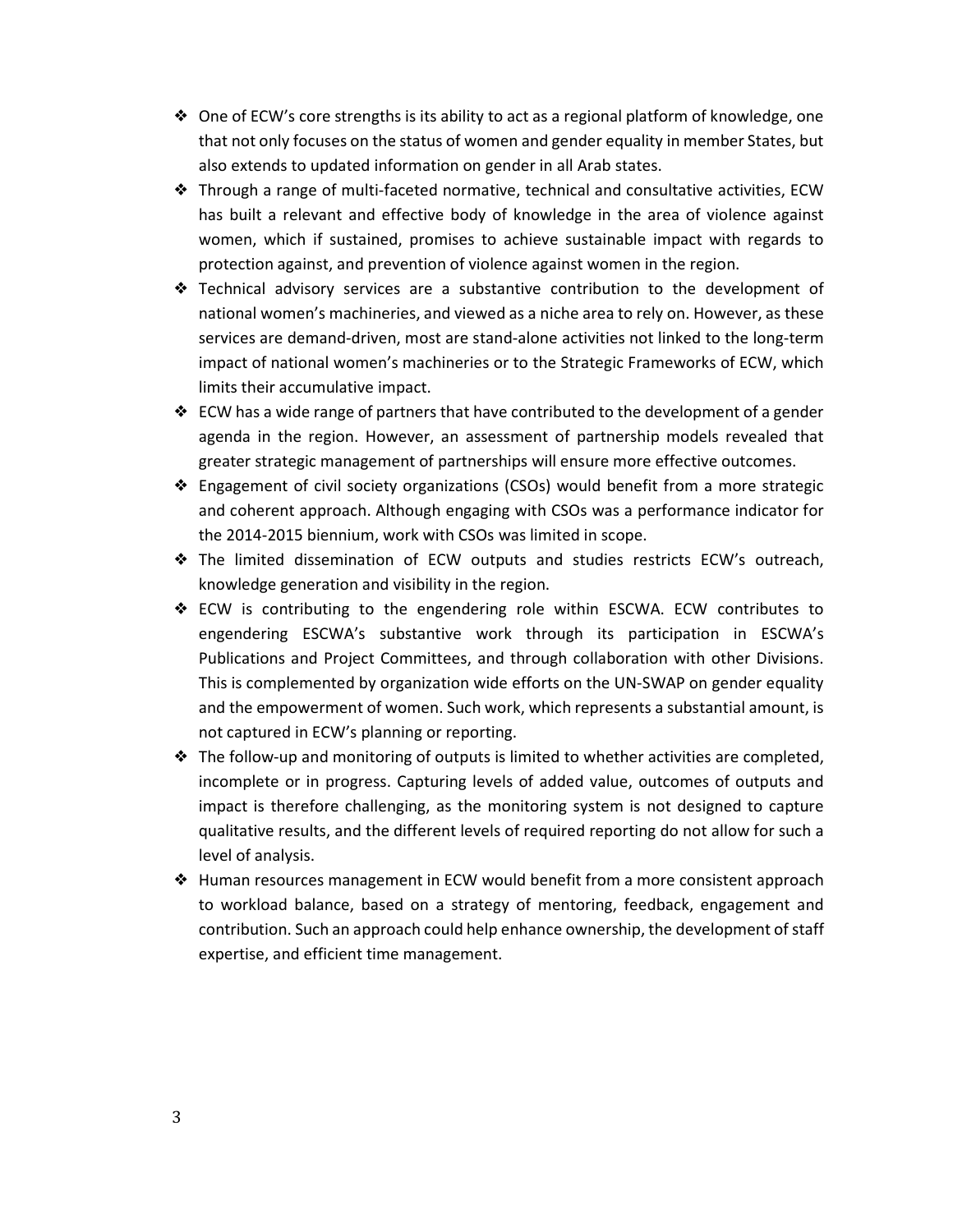- ❖ One of ECW's core strengths is its ability to act as a regional platform of knowledge, one that not only focuses on the status of women and gender equality in member States, but also extends to updated information on gender in all Arab states.
- ❖ Through a range of multi-faceted normative, technical and consultative activities, ECW has built a relevant and effective body of knowledge in the area of violence against women, which if sustained, promises to achieve sustainable impact with regards to protection against, and prevention of violence against women in the region.
- ❖ Technical advisory services are a substantive contribution to the development of national women's machineries, and viewed as a niche area to rely on. However, as these services are demand-driven, most are stand-alone activities not linked to the long-term impact of national women's machineries or to the Strategic Frameworks of ECW, which limits their accumulative impact.
- $♦$  ECW has a wide range of partners that have contributed to the development of a gender agenda in the region. However, an assessment of partnership models revealed that greater strategic management of partnerships will ensure more effective outcomes.
- ❖ Engagement of civil society organizations (CSOs) would benefit from a more strategic and coherent approach. Although engaging with CSOs was a performance indicator for the 2014-2015 biennium, work with CSOs was limited in scope.
- ❖ The limited dissemination of ECW outputs and studies restricts ECW's outreach, knowledge generation and visibility in the region.
- ❖ ECW is contributing to the engendering role within ESCWA. ECW contributes to engendering ESCWA's substantive work through its participation in ESCWA's Publications and Project Committees, and through collaboration with other Divisions. This is complemented by organization wide efforts on the UN-SWAP on gender equality and the empowerment of women. Such work, which represents a substantial amount, is not captured in ECW's planning or reporting.
- ❖ The follow-up and monitoring of outputs is limited to whether activities are completed, incomplete or in progress. Capturing levels of added value, outcomes of outputs and impact is therefore challenging, as the monitoring system is not designed to capture qualitative results, and the different levels of required reporting do not allow for such a level of analysis.
- ❖ Human resources management in ECW would benefit from a more consistent approach to workload balance, based on a strategy of mentoring, feedback, engagement and contribution. Such an approach could help enhance ownership, the development of staff expertise, and efficient time management.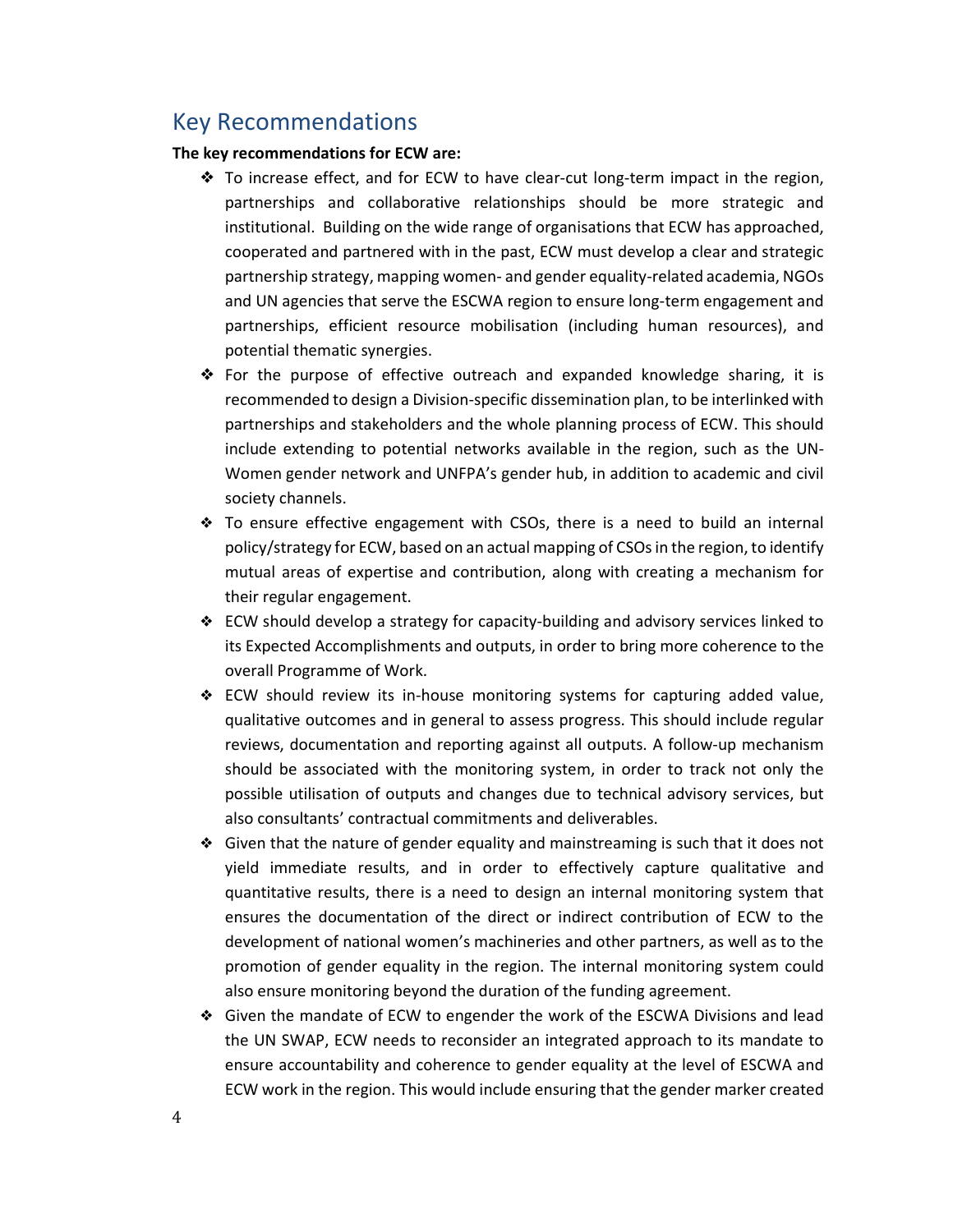### Key Recommendations

#### **The key recommendations for ECW are:**

- ❖ To increase effect, and for ECW to have clear-cut long-term impact in the region, partnerships and collaborative relationships should be more strategic and institutional. Building on the wide range of organisations that ECW has approached, cooperated and partnered with in the past, ECW must develop a clear and strategic partnership strategy, mapping women- and gender equality-related academia, NGOs and UN agencies that serve the ESCWA region to ensure long-term engagement and partnerships, efficient resource mobilisation (including human resources), and potential thematic synergies.
- ❖ For the purpose of effective outreach and expanded knowledge sharing, it is recommended to design a Division-specific dissemination plan, to be interlinked with partnerships and stakeholders and the whole planning process of ECW. This should include extending to potential networks available in the region, such as the UN-Women gender network and UNFPA's gender hub, in addition to academic and civil society channels.
- ❖ To ensure effective engagement with CSOs, there is a need to build an internal policy/strategy for ECW, based on an actual mapping of CSOs in the region, to identify mutual areas of expertise and contribution, along with creating a mechanism for their regular engagement.
- ❖ ECW should develop a strategy for capacity-building and advisory services linked to its Expected Accomplishments and outputs, in order to bring more coherence to the overall Programme of Work.
- ❖ ECW should review its in-house monitoring systems for capturing added value, qualitative outcomes and in general to assess progress. This should include regular reviews, documentation and reporting against all outputs. A follow-up mechanism should be associated with the monitoring system, in order to track not only the possible utilisation of outputs and changes due to technical advisory services, but also consultants' contractual commitments and deliverables.
- ❖ Given that the nature of gender equality and mainstreaming is such that it does not yield immediate results, and in order to effectively capture qualitative and quantitative results, there is a need to design an internal monitoring system that ensures the documentation of the direct or indirect contribution of ECW to the development of national women's machineries and other partners, as well as to the promotion of gender equality in the region. The internal monitoring system could also ensure monitoring beyond the duration of the funding agreement.
- ❖ Given the mandate of ECW to engender the work of the ESCWA Divisions and lead the UN SWAP, ECW needs to reconsider an integrated approach to its mandate to ensure accountability and coherence to gender equality at the level of ESCWA and ECW work in the region. This would include ensuring that the gender marker created